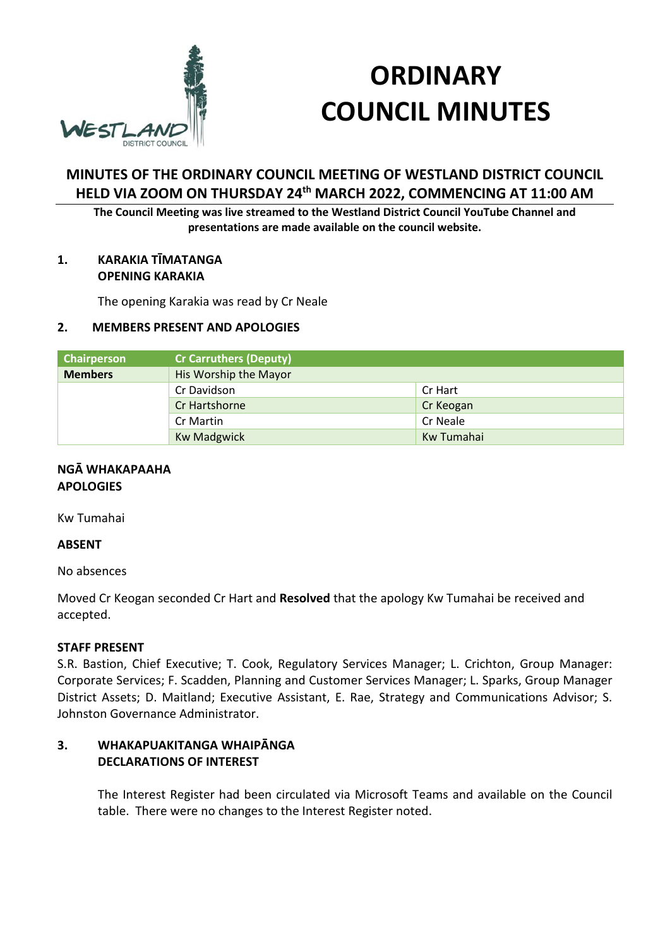

# **ORDINARY COUNCIL MINUTES**

# **MINUTES OF THE ORDINARY COUNCIL MEETING OF WESTLAND DISTRICT COUNCIL HELD VIA ZOOM ON THURSDAY 24th MARCH 2022, COMMENCING AT 11:00 AM**

**The Council Meeting was live streamed to the Westland District Council YouTube Channel and presentations are made available on the council website.** 

## **1. KARAKIA TĪMATANGA OPENING KARAKIA**

The opening Karakia was read by Cr Neale

## **2. MEMBERS PRESENT AND APOLOGIES**

| <b>Chairperson</b> | <b>Cr Carruthers (Deputy)</b> |            |
|--------------------|-------------------------------|------------|
| <b>Members</b>     | His Worship the Mayor         |            |
|                    | Cr Davidson                   | Cr Hart    |
|                    | Cr Hartshorne                 | Cr Keogan  |
|                    | Cr Martin                     | Cr Neale   |
|                    | <b>Kw Madgwick</b>            | Kw Tumahai |

#### **NGĀ WHAKAPAAHA APOLOGIES**

Kw Tumahai

## **ABSENT**

No absences

Moved Cr Keogan seconded Cr Hart and **Resolved** that the apology Kw Tumahai be received and accepted.

## **STAFF PRESENT**

S.R. Bastion, Chief Executive; T. Cook, Regulatory Services Manager; L. Crichton, Group Manager: Corporate Services; F. Scadden, Planning and Customer Services Manager; L. Sparks, Group Manager District Assets; D. Maitland; Executive Assistant, E. Rae, Strategy and Communications Advisor; S. Johnston Governance Administrator.

## **3. WHAKAPUAKITANGA WHAIPĀNGA DECLARATIONS OF INTEREST**

The Interest Register had been circulated via Microsoft Teams and available on the Council table. There were no changes to the Interest Register noted.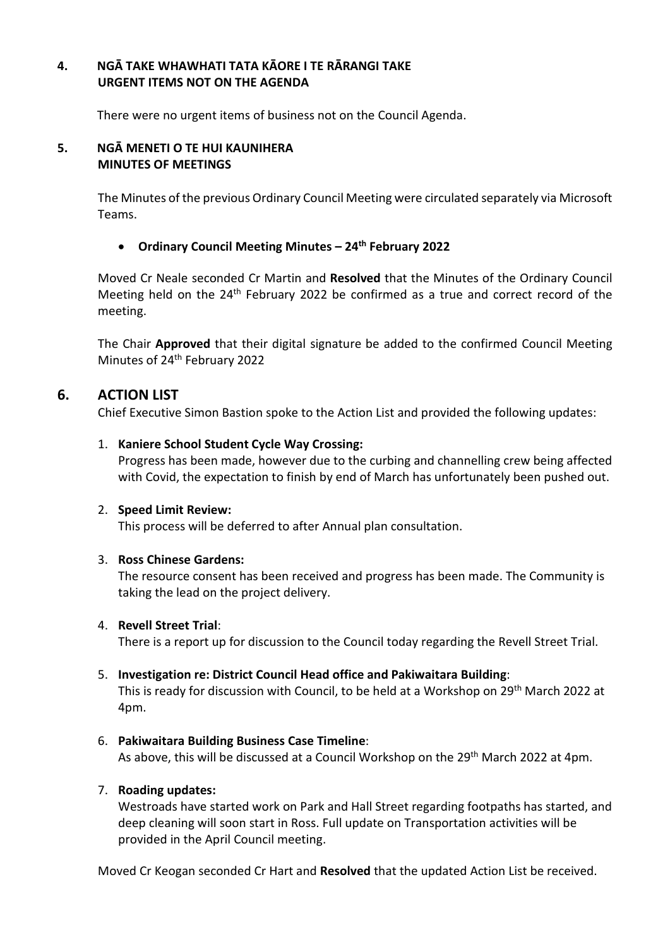## **4. NGĀ TAKE WHAWHATI TATA KĀORE I TE RĀRANGI TAKE URGENT ITEMS NOT ON THE AGENDA**

There were no urgent items of business not on the Council Agenda.

## **5. NGĀ MENETI O TE HUI KAUNIHERA MINUTES OF MEETINGS**

The Minutes of the previous Ordinary Council Meeting were circulated separately via Microsoft Teams.

## **Ordinary Council Meeting Minutes – 24th February 2022**

Moved Cr Neale seconded Cr Martin and **Resolved** that the Minutes of the Ordinary Council Meeting held on the  $24<sup>th</sup>$  February 2022 be confirmed as a true and correct record of the meeting.

The Chair **Approved** that their digital signature be added to the confirmed Council Meeting Minutes of 24<sup>th</sup> February 2022

## **6. ACTION LIST**

Chief Executive Simon Bastion spoke to the Action List and provided the following updates:

## 1. **Kaniere School Student Cycle Way Crossing:**

Progress has been made, however due to the curbing and channelling crew being affected with Covid, the expectation to finish by end of March has unfortunately been pushed out.

## 2. **Speed Limit Review:**

This process will be deferred to after Annual plan consultation.

## 3. **Ross Chinese Gardens:**

The resource consent has been received and progress has been made. The Community is taking the lead on the project delivery.

## 4. **Revell Street Trial**:

There is a report up for discussion to the Council today regarding the Revell Street Trial.

## 5. **Investigation re: District Council Head office and Pakiwaitara Building**:

This is ready for discussion with Council, to be held at a Workshop on 29<sup>th</sup> March 2022 at 4pm.

## 6. **Pakiwaitara Building Business Case Timeline**:

As above, this will be discussed at a Council Workshop on the 29th March 2022 at 4pm.

## 7. **Roading updates:**

Westroads have started work on Park and Hall Street regarding footpaths has started, and deep cleaning will soon start in Ross. Full update on Transportation activities will be provided in the April Council meeting.

Moved Cr Keogan seconded Cr Hart and **Resolved** that the updated Action List be received.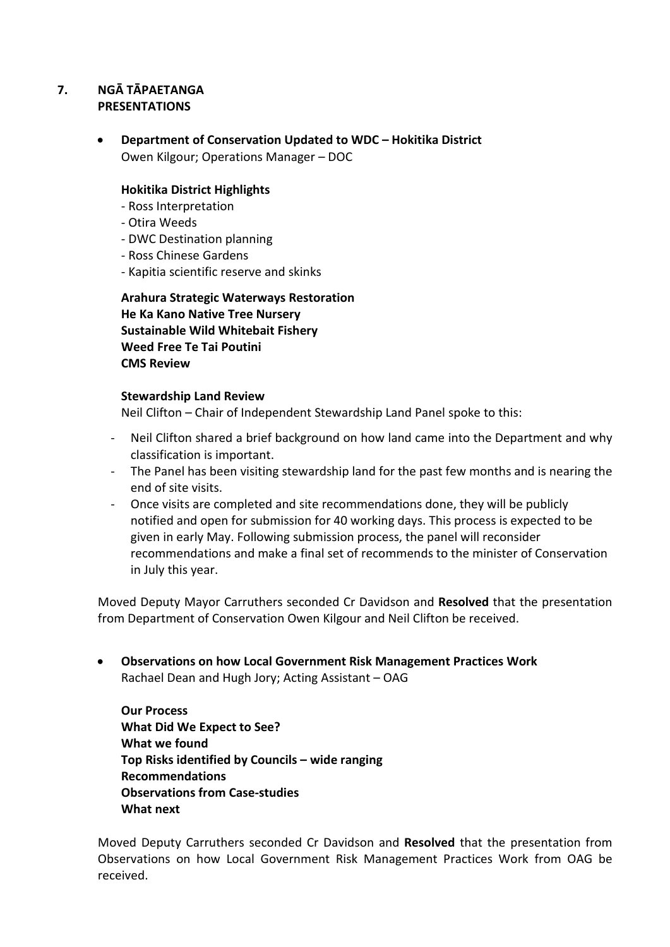## **7. NGĀ TĀPAETANGA PRESENTATIONS**

 **Department of Conservation Updated to WDC – Hokitika District** Owen Kilgour; Operations Manager – DOC

## **Hokitika District Highlights**

- Ross Interpretation
- Otira Weeds
- DWC Destination planning
- Ross Chinese Gardens
- Kapitia scientific reserve and skinks

**Arahura Strategic Waterways Restoration He Ka Kano Native Tree Nursery Sustainable Wild Whitebait Fishery Weed Free Te Tai Poutini CMS Review** 

## **Stewardship Land Review**

Neil Clifton – Chair of Independent Stewardship Land Panel spoke to this:

- Neil Clifton shared a brief background on how land came into the Department and why classification is important.
- The Panel has been visiting stewardship land for the past few months and is nearing the end of site visits.
- Once visits are completed and site recommendations done, they will be publicly notified and open for submission for 40 working days. This process is expected to be given in early May. Following submission process, the panel will reconsider recommendations and make a final set of recommends to the minister of Conservation in July this year.

Moved Deputy Mayor Carruthers seconded Cr Davidson and **Resolved** that the presentation from Department of Conservation Owen Kilgour and Neil Clifton be received.

 **Observations on how Local Government Risk Management Practices Work** Rachael Dean and Hugh Jory; Acting Assistant – OAG

**Our Process What Did We Expect to See? What we found Top Risks identified by Councils – wide ranging Recommendations Observations from Case-studies What next** 

Moved Deputy Carruthers seconded Cr Davidson and **Resolved** that the presentation from Observations on how Local Government Risk Management Practices Work from OAG be received.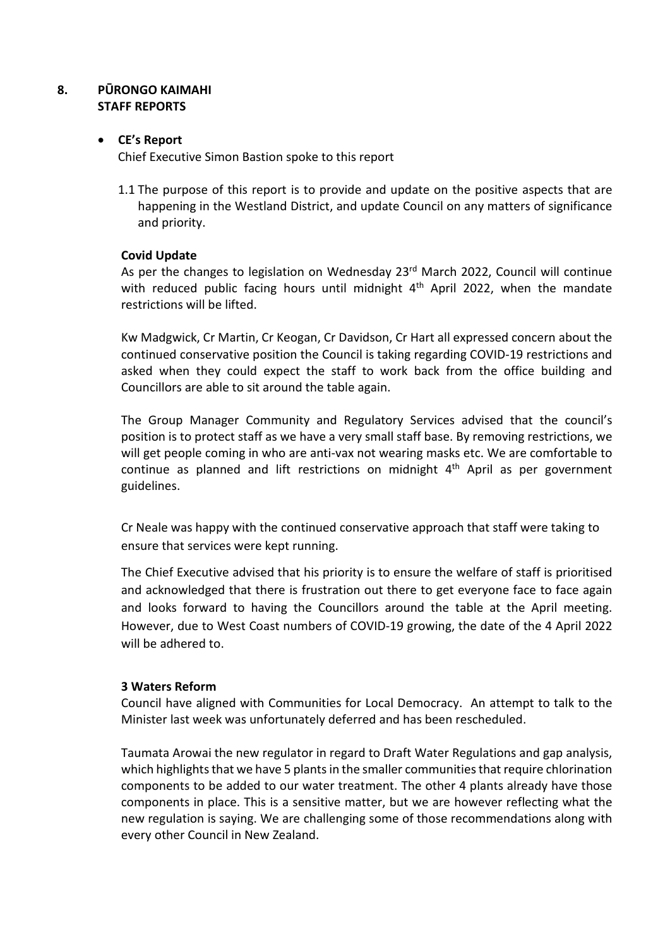## **8. PŪRONGO KAIMAHI STAFF REPORTS**

## **CE's Report**

Chief Executive Simon Bastion spoke to this report

1.1 The purpose of this report is to provide and update on the positive aspects that are happening in the Westland District, and update Council on any matters of significance and priority.

## **Covid Update**

As per the changes to legislation on Wednesday 23<sup>rd</sup> March 2022, Council will continue with reduced public facing hours until midnight  $4<sup>th</sup>$  April 2022, when the mandate restrictions will be lifted.

Kw Madgwick, Cr Martin, Cr Keogan, Cr Davidson, Cr Hart all expressed concern about the continued conservative position the Council is taking regarding COVID-19 restrictions and asked when they could expect the staff to work back from the office building and Councillors are able to sit around the table again.

The Group Manager Community and Regulatory Services advised that the council's position is to protect staff as we have a very small staff base. By removing restrictions, we will get people coming in who are anti-vax not wearing masks etc. We are comfortable to continue as planned and lift restrictions on midnight  $4<sup>th</sup>$  April as per government guidelines.

Cr Neale was happy with the continued conservative approach that staff were taking to ensure that services were kept running.

The Chief Executive advised that his priority is to ensure the welfare of staff is prioritised and acknowledged that there is frustration out there to get everyone face to face again and looks forward to having the Councillors around the table at the April meeting. However, due to West Coast numbers of COVID-19 growing, the date of the 4 April 2022 will be adhered to.

## **3 Waters Reform**

Council have aligned with Communities for Local Democracy. An attempt to talk to the Minister last week was unfortunately deferred and has been rescheduled.

Taumata Arowai the new regulator in regard to Draft Water Regulations and gap analysis, which highlights that we have 5 plants in the smaller communities that require chlorination components to be added to our water treatment. The other 4 plants already have those components in place. This is a sensitive matter, but we are however reflecting what the new regulation is saying. We are challenging some of those recommendations along with every other Council in New Zealand.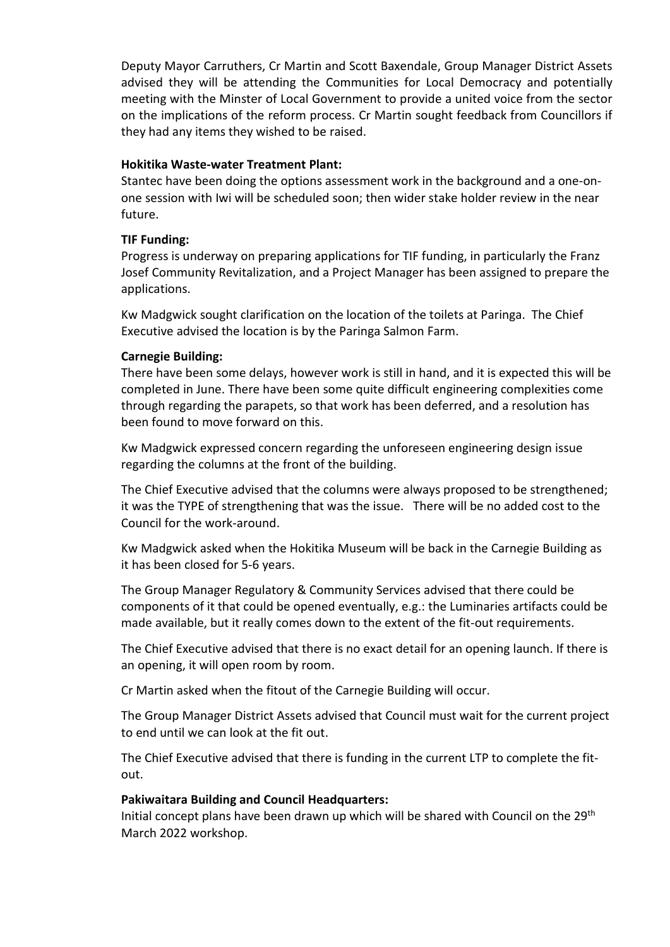Deputy Mayor Carruthers, Cr Martin and Scott Baxendale, Group Manager District Assets advised they will be attending the Communities for Local Democracy and potentially meeting with the Minster of Local Government to provide a united voice from the sector on the implications of the reform process. Cr Martin sought feedback from Councillors if they had any items they wished to be raised.

#### **Hokitika Waste-water Treatment Plant:**

Stantec have been doing the options assessment work in the background and a one-onone session with Iwi will be scheduled soon; then wider stake holder review in the near future.

## **TIF Funding:**

Progress is underway on preparing applications for TIF funding, in particularly the Franz Josef Community Revitalization, and a Project Manager has been assigned to prepare the applications.

Kw Madgwick sought clarification on the location of the toilets at Paringa. The Chief Executive advised the location is by the Paringa Salmon Farm.

#### **Carnegie Building:**

There have been some delays, however work is still in hand, and it is expected this will be completed in June. There have been some quite difficult engineering complexities come through regarding the parapets, so that work has been deferred, and a resolution has been found to move forward on this.

Kw Madgwick expressed concern regarding the unforeseen engineering design issue regarding the columns at the front of the building.

The Chief Executive advised that the columns were always proposed to be strengthened; it was the TYPE of strengthening that was the issue. There will be no added cost to the Council for the work-around.

Kw Madgwick asked when the Hokitika Museum will be back in the Carnegie Building as it has been closed for 5-6 years.

The Group Manager Regulatory & Community Services advised that there could be components of it that could be opened eventually, e.g.: the Luminaries artifacts could be made available, but it really comes down to the extent of the fit-out requirements.

The Chief Executive advised that there is no exact detail for an opening launch. If there is an opening, it will open room by room.

Cr Martin asked when the fitout of the Carnegie Building will occur.

The Group Manager District Assets advised that Council must wait for the current project to end until we can look at the fit out.

The Chief Executive advised that there is funding in the current LTP to complete the fitout.

#### **Pakiwaitara Building and Council Headquarters:**

Initial concept plans have been drawn up which will be shared with Council on the 29<sup>th</sup> March 2022 workshop.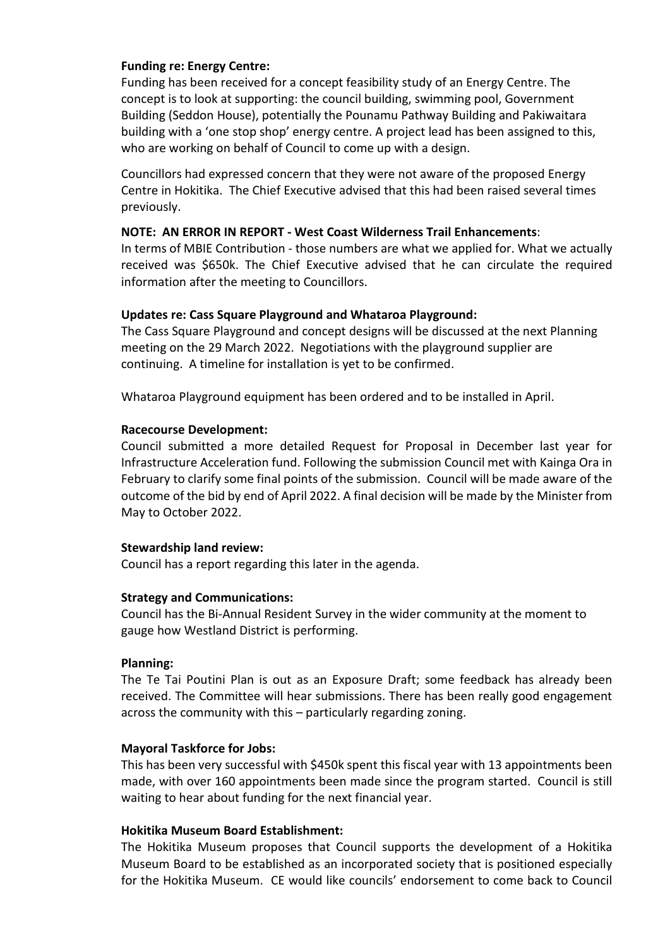## **Funding re: Energy Centre:**

Funding has been received for a concept feasibility study of an Energy Centre. The concept is to look at supporting: the council building, swimming pool, Government Building (Seddon House), potentially the Pounamu Pathway Building and Pakiwaitara building with a 'one stop shop' energy centre. A project lead has been assigned to this, who are working on behalf of Council to come up with a design.

Councillors had expressed concern that they were not aware of the proposed Energy Centre in Hokitika. The Chief Executive advised that this had been raised several times previously.

#### **NOTE: AN ERROR IN REPORT - West Coast Wilderness Trail Enhancements**:

In terms of MBIE Contribution - those numbers are what we applied for. What we actually received was \$650k. The Chief Executive advised that he can circulate the required information after the meeting to Councillors.

#### **Updates re: Cass Square Playground and Whataroa Playground:**

The Cass Square Playground and concept designs will be discussed at the next Planning meeting on the 29 March 2022. Negotiations with the playground supplier are continuing. A timeline for installation is yet to be confirmed.

Whataroa Playground equipment has been ordered and to be installed in April.

#### **Racecourse Development:**

Council submitted a more detailed Request for Proposal in December last year for Infrastructure Acceleration fund. Following the submission Council met with Kainga Ora in February to clarify some final points of the submission. Council will be made aware of the outcome of the bid by end of April 2022. A final decision will be made by the Minister from May to October 2022.

#### **Stewardship land review:**

Council has a report regarding this later in the agenda.

#### **Strategy and Communications:**

Council has the Bi-Annual Resident Survey in the wider community at the moment to gauge how Westland District is performing.

#### **Planning:**

The Te Tai Poutini Plan is out as an Exposure Draft; some feedback has already been received. The Committee will hear submissions. There has been really good engagement across the community with this – particularly regarding zoning.

#### **Mayoral Taskforce for Jobs:**

This has been very successful with \$450k spent this fiscal year with 13 appointments been made, with over 160 appointments been made since the program started. Council is still waiting to hear about funding for the next financial year.

#### **Hokitika Museum Board Establishment:**

The Hokitika Museum proposes that Council supports the development of a Hokitika Museum Board to be established as an incorporated society that is positioned especially for the Hokitika Museum. CE would like councils' endorsement to come back to Council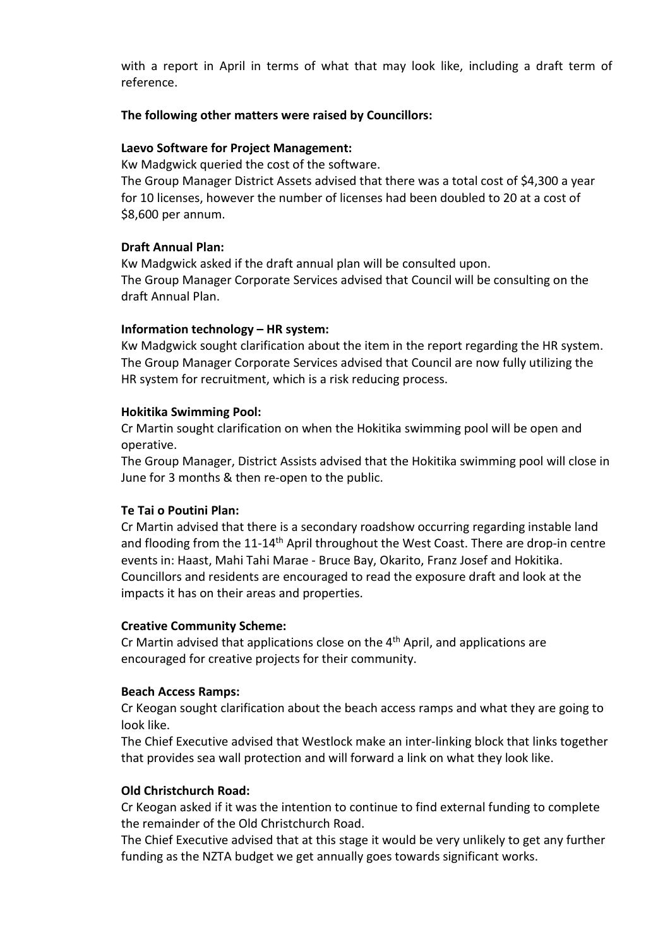with a report in April in terms of what that may look like, including a draft term of reference.

## **The following other matters were raised by Councillors:**

## **Laevo Software for Project Management:**

Kw Madgwick queried the cost of the software.

The Group Manager District Assets advised that there was a total cost of \$4,300 a year for 10 licenses, however the number of licenses had been doubled to 20 at a cost of \$8,600 per annum.

## **Draft Annual Plan:**

Kw Madgwick asked if the draft annual plan will be consulted upon. The Group Manager Corporate Services advised that Council will be consulting on the draft Annual Plan.

## **Information technology – HR system:**

Kw Madgwick sought clarification about the item in the report regarding the HR system. The Group Manager Corporate Services advised that Council are now fully utilizing the HR system for recruitment, which is a risk reducing process.

## **Hokitika Swimming Pool:**

Cr Martin sought clarification on when the Hokitika swimming pool will be open and operative.

The Group Manager, District Assists advised that the Hokitika swimming pool will close in June for 3 months & then re-open to the public.

## **Te Tai o Poutini Plan:**

Cr Martin advised that there is a secondary roadshow occurring regarding instable land and flooding from the 11-14<sup>th</sup> April throughout the West Coast. There are drop-in centre events in: Haast, Mahi Tahi Marae - Bruce Bay, Okarito, Franz Josef and Hokitika. Councillors and residents are encouraged to read the exposure draft and look at the impacts it has on their areas and properties.

## **Creative Community Scheme:**

Cr Martin advised that applications close on the  $4<sup>th</sup>$  April, and applications are encouraged for creative projects for their community.

## **Beach Access Ramps:**

Cr Keogan sought clarification about the beach access ramps and what they are going to look like.

The Chief Executive advised that Westlock make an inter-linking block that links together that provides sea wall protection and will forward a link on what they look like.

## **Old Christchurch Road:**

Cr Keogan asked if it was the intention to continue to find external funding to complete the remainder of the Old Christchurch Road.

The Chief Executive advised that at this stage it would be very unlikely to get any further funding as the NZTA budget we get annually goes towards significant works.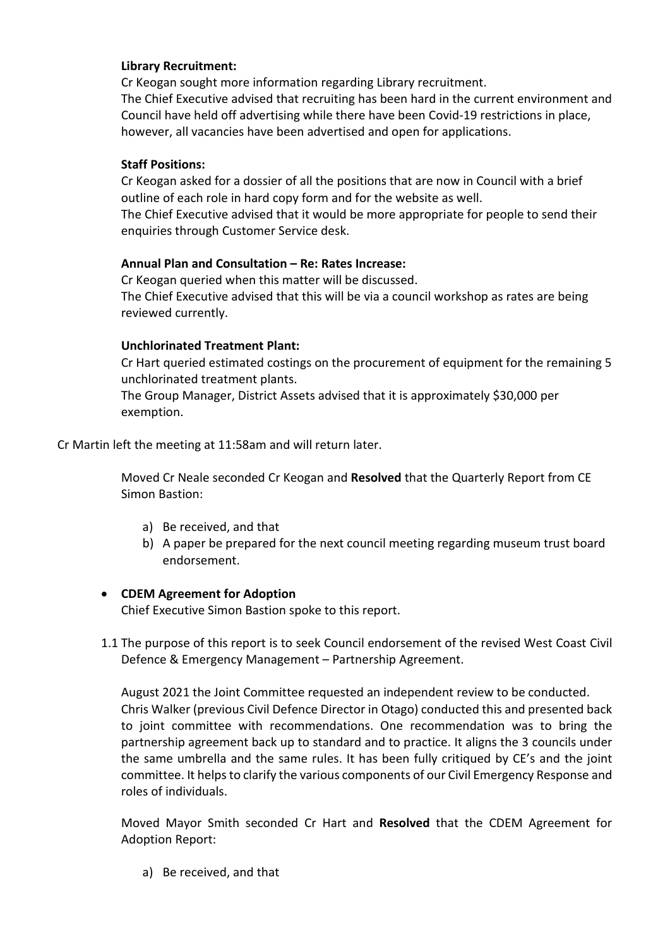## **Library Recruitment:**

Cr Keogan sought more information regarding Library recruitment. The Chief Executive advised that recruiting has been hard in the current environment and Council have held off advertising while there have been Covid-19 restrictions in place, however, all vacancies have been advertised and open for applications.

## **Staff Positions:**

Cr Keogan asked for a dossier of all the positions that are now in Council with a brief outline of each role in hard copy form and for the website as well.

The Chief Executive advised that it would be more appropriate for people to send their enquiries through Customer Service desk.

## **Annual Plan and Consultation – Re: Rates Increase:**

Cr Keogan queried when this matter will be discussed. The Chief Executive advised that this will be via a council workshop as rates are being reviewed currently.

## **Unchlorinated Treatment Plant:**

Cr Hart queried estimated costings on the procurement of equipment for the remaining 5 unchlorinated treatment plants.

The Group Manager, District Assets advised that it is approximately \$30,000 per exemption.

Cr Martin left the meeting at 11:58am and will return later.

Moved Cr Neale seconded Cr Keogan and **Resolved** that the Quarterly Report from CE Simon Bastion:

- a) Be received, and that
- b) A paper be prepared for the next council meeting regarding museum trust board endorsement.

## **CDEM Agreement for Adoption**

Chief Executive Simon Bastion spoke to this report.

1.1 The purpose of this report is to seek Council endorsement of the revised West Coast Civil Defence & Emergency Management – Partnership Agreement.

August 2021 the Joint Committee requested an independent review to be conducted. Chris Walker (previous Civil Defence Director in Otago) conducted this and presented back to joint committee with recommendations. One recommendation was to bring the partnership agreement back up to standard and to practice. It aligns the 3 councils under the same umbrella and the same rules. It has been fully critiqued by CE's and the joint committee. It helps to clarify the various components of our Civil Emergency Response and roles of individuals.

Moved Mayor Smith seconded Cr Hart and **Resolved** that the CDEM Agreement for Adoption Report:

a) Be received, and that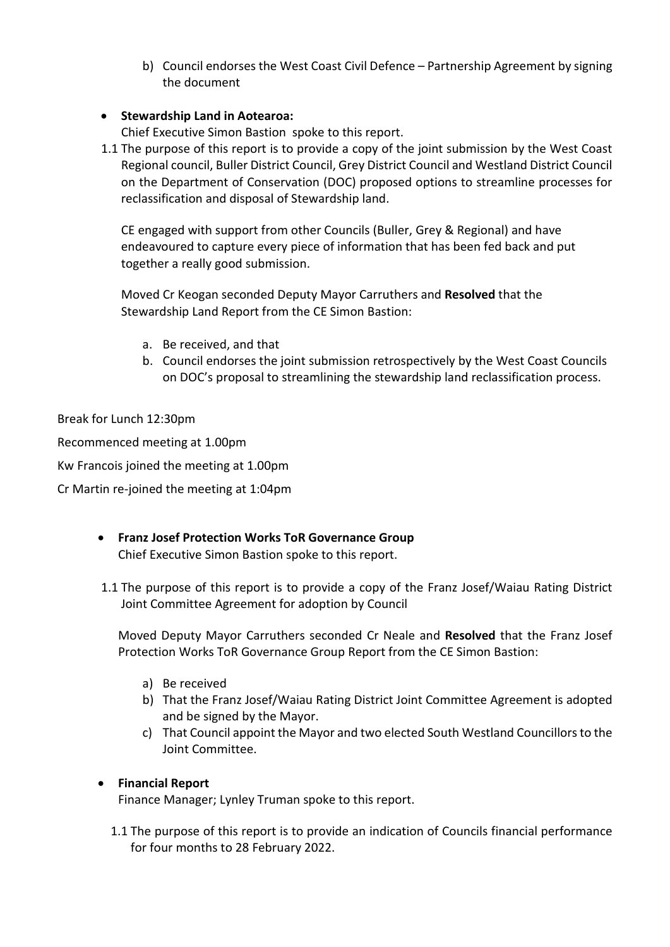b) Council endorses the West Coast Civil Defence – Partnership Agreement by signing the document

## **Stewardship Land in Aotearoa:**

Chief Executive Simon Bastion spoke to this report.

1.1 The purpose of this report is to provide a copy of the joint submission by the West Coast Regional council, Buller District Council, Grey District Council and Westland District Council on the Department of Conservation (DOC) proposed options to streamline processes for reclassification and disposal of Stewardship land.

CE engaged with support from other Councils (Buller, Grey & Regional) and have endeavoured to capture every piece of information that has been fed back and put together a really good submission.

Moved Cr Keogan seconded Deputy Mayor Carruthers and **Resolved** that the Stewardship Land Report from the CE Simon Bastion:

- a. Be received, and that
- b. Council endorses the joint submission retrospectively by the West Coast Councils on DOC's proposal to streamlining the stewardship land reclassification process.

Break for Lunch 12:30pm

Recommenced meeting at 1.00pm

Kw Francois joined the meeting at 1.00pm

Cr Martin re-joined the meeting at 1:04pm

## **Franz Josef Protection Works ToR Governance Group**  Chief Executive Simon Bastion spoke to this report.

1.1 The purpose of this report is to provide a copy of the Franz Josef/Waiau Rating District Joint Committee Agreement for adoption by Council

Moved Deputy Mayor Carruthers seconded Cr Neale and **Resolved** that the Franz Josef Protection Works ToR Governance Group Report from the CE Simon Bastion:

- a) Be received
- b) That the Franz Josef/Waiau Rating District Joint Committee Agreement is adopted and be signed by the Mayor.
- c) That Council appoint the Mayor and two elected South Westland Councillors to the Joint Committee.

## **Financial Report**

Finance Manager; Lynley Truman spoke to this report.

1.1 The purpose of this report is to provide an indication of Councils financial performance for four months to 28 February 2022.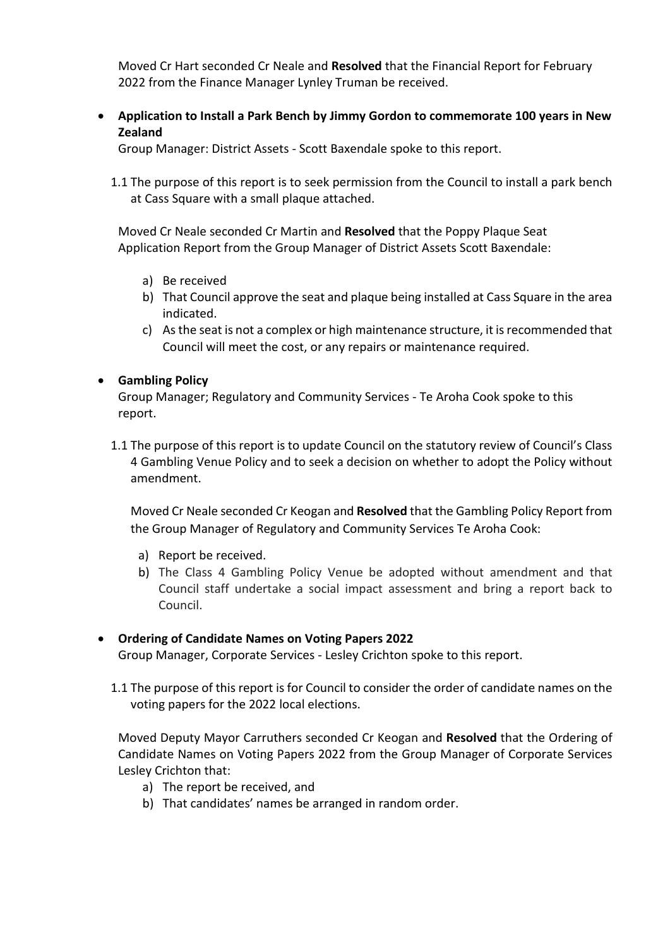Moved Cr Hart seconded Cr Neale and **Resolved** that the Financial Report for February 2022 from the Finance Manager Lynley Truman be received.

 **Application to Install a Park Bench by Jimmy Gordon to commemorate 100 years in New Zealand** 

Group Manager: District Assets - Scott Baxendale spoke to this report.

1.1 The purpose of this report is to seek permission from the Council to install a park bench at Cass Square with a small plaque attached.

Moved Cr Neale seconded Cr Martin and **Resolved** that the Poppy Plaque Seat Application Report from the Group Manager of District Assets Scott Baxendale:

- a) Be received
- b) That Council approve the seat and plaque being installed at Cass Square in the area indicated.
- c) As the seat is not a complex or high maintenance structure, it is recommended that Council will meet the cost, or any repairs or maintenance required.

## **Gambling Policy**

Group Manager; Regulatory and Community Services - Te Aroha Cook spoke to this report.

1.1 The purpose of this report is to update Council on the statutory review of Council's Class 4 Gambling Venue Policy and to seek a decision on whether to adopt the Policy without amendment.

Moved Cr Neale seconded Cr Keogan and **Resolved** that the Gambling Policy Report from the Group Manager of Regulatory and Community Services Te Aroha Cook:

- a) Report be received.
- b) The Class 4 Gambling Policy Venue be adopted without amendment and that Council staff undertake a social impact assessment and bring a report back to Council.

## **Ordering of Candidate Names on Voting Papers 2022**

Group Manager, Corporate Services - Lesley Crichton spoke to this report.

1.1 The purpose of this report is for Council to consider the order of candidate names on the voting papers for the 2022 local elections.

Moved Deputy Mayor Carruthers seconded Cr Keogan and **Resolved** that the Ordering of Candidate Names on Voting Papers 2022 from the Group Manager of Corporate Services Lesley Crichton that:

- a) The report be received, and
- b) That candidates' names be arranged in random order.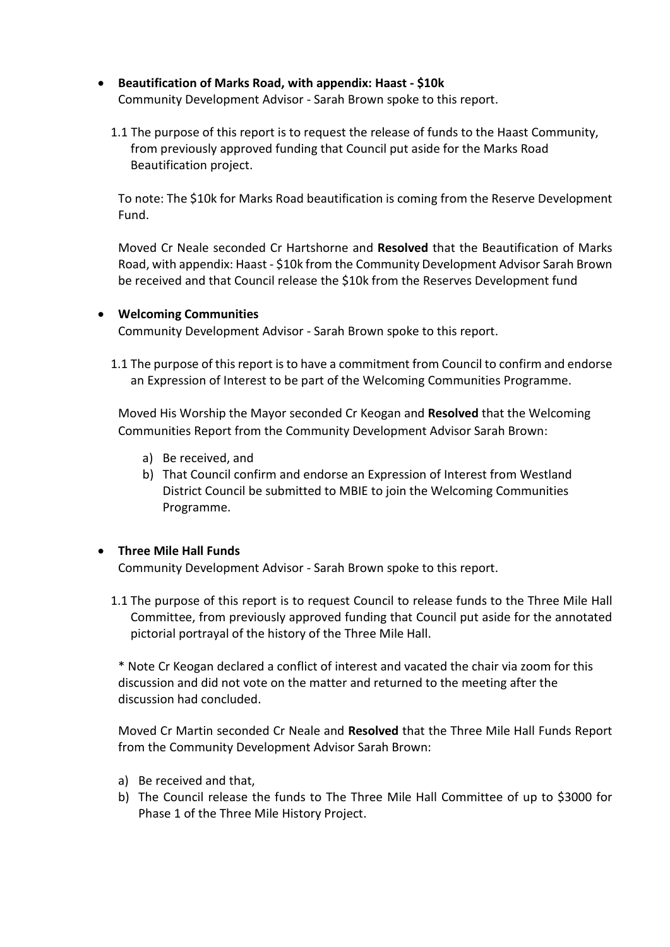- **Beautification of Marks Road, with appendix: Haast \$10k**  Community Development Advisor - Sarah Brown spoke to this report.
	- 1.1 The purpose of this report is to request the release of funds to the Haast Community, from previously approved funding that Council put aside for the Marks Road Beautification project.

To note: The \$10k for Marks Road beautification is coming from the Reserve Development Fund.

Moved Cr Neale seconded Cr Hartshorne and **Resolved** that the Beautification of Marks Road, with appendix: Haast - \$10k from the Community Development Advisor Sarah Brown be received and that Council release the \$10k from the Reserves Development fund

## **Welcoming Communities**

Community Development Advisor - Sarah Brown spoke to this report.

1.1 The purpose of this report is to have a commitment from Council to confirm and endorse an Expression of Interest to be part of the Welcoming Communities Programme.

Moved His Worship the Mayor seconded Cr Keogan and **Resolved** that the Welcoming Communities Report from the Community Development Advisor Sarah Brown:

- a) Be received, and
- b) That Council confirm and endorse an Expression of Interest from Westland District Council be submitted to MBIE to join the Welcoming Communities Programme.

## **Three Mile Hall Funds**

Community Development Advisor - Sarah Brown spoke to this report.

1.1 The purpose of this report is to request Council to release funds to the Three Mile Hall Committee, from previously approved funding that Council put aside for the annotated pictorial portrayal of the history of the Three Mile Hall.

\* Note Cr Keogan declared a conflict of interest and vacated the chair via zoom for this discussion and did not vote on the matter and returned to the meeting after the discussion had concluded.

Moved Cr Martin seconded Cr Neale and **Resolved** that the Three Mile Hall Funds Report from the Community Development Advisor Sarah Brown:

- a) Be received and that,
- b) The Council release the funds to The Three Mile Hall Committee of up to \$3000 for Phase 1 of the Three Mile History Project.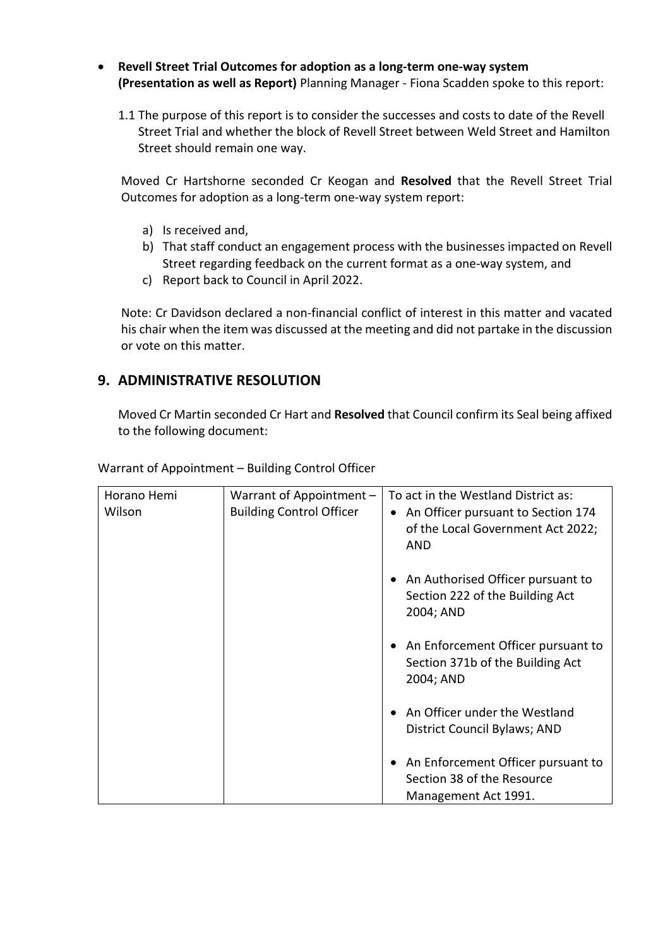- **Revell Street Trial Outcomes for adoption as a long-term one-way system (Presentation as well as Report)** Planning Manager - Fiona Scadden spoke to this report:
	- 1.1 The purpose of this report is to consider the successes and costs to date of the Revell Street Trial and whether the block of Revell Street between Weld Street and Hamilton Street should remain one way.

Moved Cr Hartshorne seconded Cr Keogan and **Resolved** that the Revell Street Trial Outcomes for adoption as a long-term one-way system report:

- a) Is received and,
- b) That staff conduct an engagement process with the businesses impacted on Revell Street regarding feedback on the current format as a one-way system, and
- c) Report back to Council in April 2022.

Note: Cr Davidson declared a non-financial conflict of interest in this matter and vacated his chair when the item was discussed at the meeting and did not partake in the discussion or vote on this matter.

## **9. ADMINISTRATIVE RESOLUTION**

Moved Cr Martin seconded Cr Hart and **Resolved** that Council confirm its Seal being affixed to the following document:

| Horano Hemi<br>Wilson | Warrant of Appointment $-$<br><b>Building Control Officer</b> | To act in the Westland District as:<br>An Officer pursuant to Section 174<br>$\bullet$<br>of the Local Government Act 2022;<br>AND |
|-----------------------|---------------------------------------------------------------|------------------------------------------------------------------------------------------------------------------------------------|
|                       |                                                               | An Authorised Officer pursuant to<br>$\bullet$<br>Section 222 of the Building Act<br>2004; AND                                     |
|                       |                                                               | An Enforcement Officer pursuant to<br>Section 371b of the Building Act<br>2004; AND                                                |
|                       |                                                               | An Officer under the Westland<br>District Council Bylaws; AND                                                                      |
|                       |                                                               | An Enforcement Officer pursuant to<br>Section 38 of the Resource<br>Management Act 1991.                                           |

Warrant of Appointment – Building Control Officer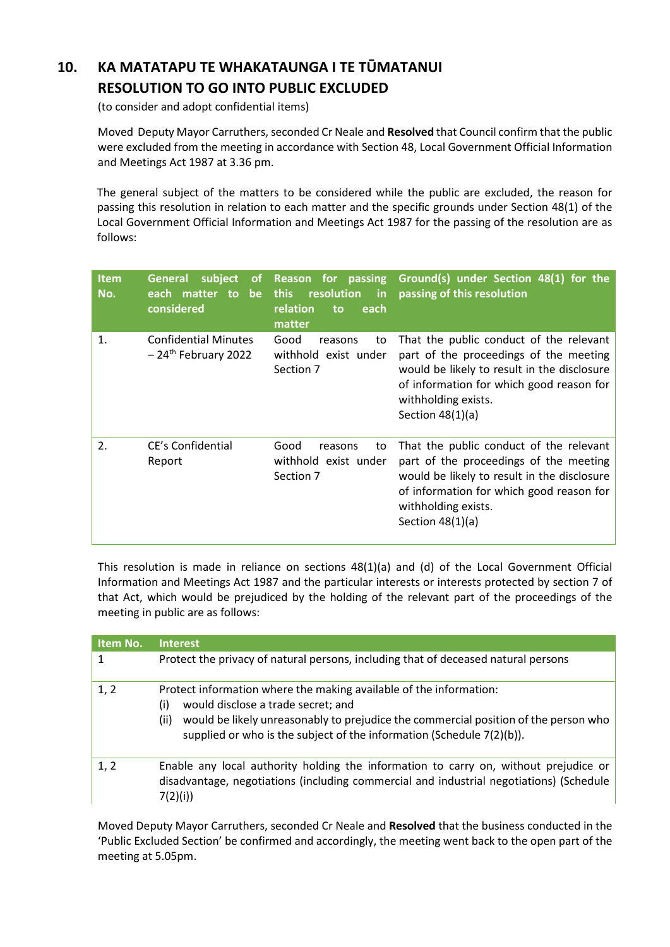# **10. KA MATATAPU TE WHAKATAUNGA I TE TŪMATANUI RESOLUTION TO GO INTO PUBLIC EXCLUDED**

(to consider and adopt confidential items)

 Moved Deputy Mayor Carruthers, seconded Cr Neale and **Resolved** that Council confirm that the public were excluded from the meeting in accordance with Section 48, Local Government Official Information and Meetings Act 1987 at 3.36 pm.

The general subject of the matters to be considered while the public are excluded, the reason for passing this resolution in relation to each matter and the specific grounds under Section 48(1) of the Local Government Official Information and Meetings Act 1987 for the passing of the resolution are as follows:

| <b>Item</b><br>No. | subject<br><b>General</b><br>οf<br>each matter<br><b>be</b><br><sub>to</sub><br>considered | Reason for passing<br>resolution<br><b>this</b><br>in<br>relation<br>each<br>to<br>matter | Ground(s) under Section 48(1) for the<br>passing of this resolution                                                                                                                                                       |
|--------------------|--------------------------------------------------------------------------------------------|-------------------------------------------------------------------------------------------|---------------------------------------------------------------------------------------------------------------------------------------------------------------------------------------------------------------------------|
| 1.                 | <b>Confidential Minutes</b><br>$-24$ <sup>th</sup> February 2022                           | Good<br>reasons<br>to<br>withhold exist under<br>Section 7                                | That the public conduct of the relevant<br>part of the proceedings of the meeting<br>would be likely to result in the disclosure<br>of information for which good reason for<br>withholding exists.<br>Section $48(1)(a)$ |
| 2.                 | CE's Confidential<br>Report                                                                | Good<br>reasons<br>to<br>withhold exist under<br>Section 7                                | That the public conduct of the relevant<br>part of the proceedings of the meeting<br>would be likely to result in the disclosure<br>of information for which good reason for<br>withholding exists.<br>Section $48(1)(a)$ |

This resolution is made in reliance on sections 48(1)(a) and (d) of the Local Government Official Information and Meetings Act 1987 and the particular interests or interests protected by section 7 of that Act, which would be prejudiced by the holding of the relevant part of the proceedings of the meeting in public are as follows:

| Item No. | <b>Interest</b>                                                                                                                                                                                                                                                                         |
|----------|-----------------------------------------------------------------------------------------------------------------------------------------------------------------------------------------------------------------------------------------------------------------------------------------|
|          | Protect the privacy of natural persons, including that of deceased natural persons                                                                                                                                                                                                      |
| 1, 2     | Protect information where the making available of the information:<br>would disclose a trade secret; and<br>(i)<br>would be likely unreasonably to prejudice the commercial position of the person who<br>(ii)<br>supplied or who is the subject of the information (Schedule 7(2)(b)). |
| 1, 2     | Enable any local authority holding the information to carry on, without prejudice or<br>disadvantage, negotiations (including commercial and industrial negotiations) (Schedule<br>7(2)(i))                                                                                             |

Moved Deputy Mayor Carruthers, seconded Cr Neale and **Resolved** that the business conducted in the 'Public Excluded Section' be confirmed and accordingly, the meeting went back to the open part of the meeting at 5.05pm.